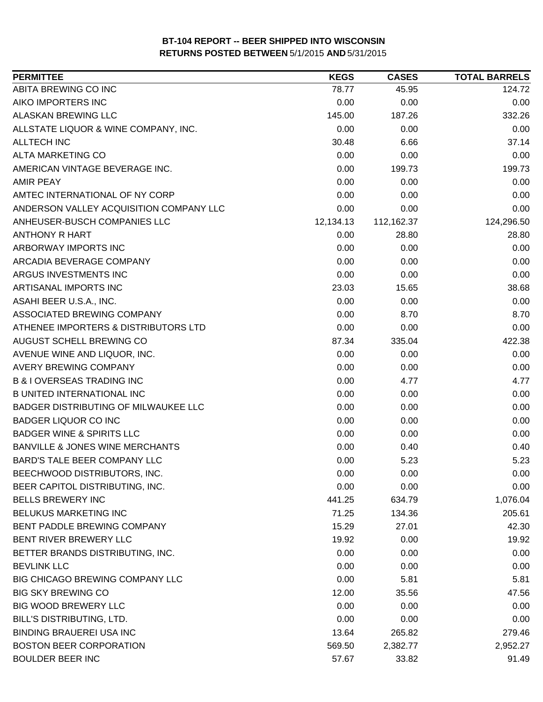| ABITA BREWING CO INC<br>78.77<br>45.95<br>124.72<br>AIKO IMPORTERS INC<br>0.00<br>0.00<br>0.00<br>ALASKAN BREWING LLC<br>145.00<br>187.26<br>332.26<br>ALLSTATE LIQUOR & WINE COMPANY, INC.<br>0.00<br>0.00<br>0.00<br>37.14<br><b>ALLTECH INC</b><br>30.48<br>6.66<br>ALTA MARKETING CO<br>0.00<br>0.00<br>0.00<br>AMERICAN VINTAGE BEVERAGE INC.<br>0.00<br>199.73<br>199.73<br><b>AMIR PEAY</b><br>0.00<br>0.00<br>0.00<br>AMTEC INTERNATIONAL OF NY CORP<br>0.00<br>0.00<br>0.00<br>ANDERSON VALLEY ACQUISITION COMPANY LLC<br>0.00<br>0.00<br>0.00<br>ANHEUSER-BUSCH COMPANIES LLC<br>112,162.37<br>124,296.50<br>12,134.13<br>0.00<br><b>ANTHONY R HART</b><br>28.80<br>28.80<br>ARBORWAY IMPORTS INC<br>0.00<br>0.00<br>0.00<br>ARCADIA BEVERAGE COMPANY<br>0.00<br>0.00<br>0.00<br>ARGUS INVESTMENTS INC<br>0.00<br>0.00<br>0.00<br>ARTISANAL IMPORTS INC<br>23.03<br>15.65<br>38.68<br>ASAHI BEER U.S.A., INC.<br>0.00<br>0.00<br>0.00<br>8.70<br>ASSOCIATED BREWING COMPANY<br>0.00<br>8.70<br>ATHENEE IMPORTERS & DISTRIBUTORS LTD<br>0.00<br>0.00<br>0.00<br>AUGUST SCHELL BREWING CO<br>87.34<br>335.04<br>422.38<br>0.00<br>0.00<br>AVENUE WINE AND LIQUOR, INC.<br>0.00<br><b>AVERY BREWING COMPANY</b><br>0.00<br>0.00<br>0.00<br><b>B &amp; I OVERSEAS TRADING INC</b><br>0.00<br>4.77<br>4.77<br><b>B UNITED INTERNATIONAL INC</b><br>0.00<br>0.00<br>0.00<br>0.00<br>BADGER DISTRIBUTING OF MILWAUKEE LLC<br>0.00<br>0.00<br><b>BADGER LIQUOR CO INC</b><br>0.00<br>0.00<br>0.00<br><b>BADGER WINE &amp; SPIRITS LLC</b><br>0.00<br>0.00<br>0.00<br><b>BANVILLE &amp; JONES WINE MERCHANTS</b><br>0.00<br>0.40<br>0.40<br>BARD'S TALE BEER COMPANY LLC<br>5.23<br>5.23<br>0.00<br>BEECHWOOD DISTRIBUTORS, INC.<br>0.00<br>0.00<br>0.00<br>0.00<br>0.00<br>0.00<br>BEER CAPITOL DISTRIBUTING, INC.<br><b>BELLS BREWERY INC</b><br>441.25<br>634.79<br>1,076.04<br>BELUKUS MARKETING INC<br>71.25<br>134.36<br>205.61<br>BENT PADDLE BREWING COMPANY<br>15.29<br>27.01<br>42.30<br>BENT RIVER BREWERY LLC<br>19.92<br>0.00<br>19.92<br>BETTER BRANDS DISTRIBUTING, INC.<br>0.00<br>0.00<br>0.00<br>0.00<br><b>BEVLINK LLC</b><br>0.00<br>0.00<br>0.00<br>BIG CHICAGO BREWING COMPANY LLC<br>5.81<br>5.81<br><b>BIG SKY BREWING CO</b><br>12.00<br>35.56<br>47.56<br><b>BIG WOOD BREWERY LLC</b><br>0.00<br>0.00<br>0.00<br>BILL'S DISTRIBUTING, LTD.<br>0.00<br>0.00<br>0.00<br><b>BINDING BRAUEREI USA INC</b><br>13.64<br>265.82<br>279.46<br><b>BOSTON BEER CORPORATION</b><br>569.50<br>2,382.77<br>2,952.27<br><b>BOULDER BEER INC</b><br>57.67<br>91.49<br>33.82 | <b>PERMITTEE</b> | <b>KEGS</b> | <b>CASES</b> | <b>TOTAL BARRELS</b> |
|-----------------------------------------------------------------------------------------------------------------------------------------------------------------------------------------------------------------------------------------------------------------------------------------------------------------------------------------------------------------------------------------------------------------------------------------------------------------------------------------------------------------------------------------------------------------------------------------------------------------------------------------------------------------------------------------------------------------------------------------------------------------------------------------------------------------------------------------------------------------------------------------------------------------------------------------------------------------------------------------------------------------------------------------------------------------------------------------------------------------------------------------------------------------------------------------------------------------------------------------------------------------------------------------------------------------------------------------------------------------------------------------------------------------------------------------------------------------------------------------------------------------------------------------------------------------------------------------------------------------------------------------------------------------------------------------------------------------------------------------------------------------------------------------------------------------------------------------------------------------------------------------------------------------------------------------------------------------------------------------------------------------------------------------------------------------------------------------------------------------------------------------------------------------------------------------------------------------------------------------------------------------------------------------------------------------------------------------------------------------------------------------------------------------------------------------------------------------------------------------------------------------------------------------------------------------------------------------|------------------|-------------|--------------|----------------------|
|                                                                                                                                                                                                                                                                                                                                                                                                                                                                                                                                                                                                                                                                                                                                                                                                                                                                                                                                                                                                                                                                                                                                                                                                                                                                                                                                                                                                                                                                                                                                                                                                                                                                                                                                                                                                                                                                                                                                                                                                                                                                                                                                                                                                                                                                                                                                                                                                                                                                                                                                                                                         |                  |             |              |                      |
|                                                                                                                                                                                                                                                                                                                                                                                                                                                                                                                                                                                                                                                                                                                                                                                                                                                                                                                                                                                                                                                                                                                                                                                                                                                                                                                                                                                                                                                                                                                                                                                                                                                                                                                                                                                                                                                                                                                                                                                                                                                                                                                                                                                                                                                                                                                                                                                                                                                                                                                                                                                         |                  |             |              |                      |
|                                                                                                                                                                                                                                                                                                                                                                                                                                                                                                                                                                                                                                                                                                                                                                                                                                                                                                                                                                                                                                                                                                                                                                                                                                                                                                                                                                                                                                                                                                                                                                                                                                                                                                                                                                                                                                                                                                                                                                                                                                                                                                                                                                                                                                                                                                                                                                                                                                                                                                                                                                                         |                  |             |              |                      |
|                                                                                                                                                                                                                                                                                                                                                                                                                                                                                                                                                                                                                                                                                                                                                                                                                                                                                                                                                                                                                                                                                                                                                                                                                                                                                                                                                                                                                                                                                                                                                                                                                                                                                                                                                                                                                                                                                                                                                                                                                                                                                                                                                                                                                                                                                                                                                                                                                                                                                                                                                                                         |                  |             |              |                      |
|                                                                                                                                                                                                                                                                                                                                                                                                                                                                                                                                                                                                                                                                                                                                                                                                                                                                                                                                                                                                                                                                                                                                                                                                                                                                                                                                                                                                                                                                                                                                                                                                                                                                                                                                                                                                                                                                                                                                                                                                                                                                                                                                                                                                                                                                                                                                                                                                                                                                                                                                                                                         |                  |             |              |                      |
|                                                                                                                                                                                                                                                                                                                                                                                                                                                                                                                                                                                                                                                                                                                                                                                                                                                                                                                                                                                                                                                                                                                                                                                                                                                                                                                                                                                                                                                                                                                                                                                                                                                                                                                                                                                                                                                                                                                                                                                                                                                                                                                                                                                                                                                                                                                                                                                                                                                                                                                                                                                         |                  |             |              |                      |
|                                                                                                                                                                                                                                                                                                                                                                                                                                                                                                                                                                                                                                                                                                                                                                                                                                                                                                                                                                                                                                                                                                                                                                                                                                                                                                                                                                                                                                                                                                                                                                                                                                                                                                                                                                                                                                                                                                                                                                                                                                                                                                                                                                                                                                                                                                                                                                                                                                                                                                                                                                                         |                  |             |              |                      |
|                                                                                                                                                                                                                                                                                                                                                                                                                                                                                                                                                                                                                                                                                                                                                                                                                                                                                                                                                                                                                                                                                                                                                                                                                                                                                                                                                                                                                                                                                                                                                                                                                                                                                                                                                                                                                                                                                                                                                                                                                                                                                                                                                                                                                                                                                                                                                                                                                                                                                                                                                                                         |                  |             |              |                      |
|                                                                                                                                                                                                                                                                                                                                                                                                                                                                                                                                                                                                                                                                                                                                                                                                                                                                                                                                                                                                                                                                                                                                                                                                                                                                                                                                                                                                                                                                                                                                                                                                                                                                                                                                                                                                                                                                                                                                                                                                                                                                                                                                                                                                                                                                                                                                                                                                                                                                                                                                                                                         |                  |             |              |                      |
|                                                                                                                                                                                                                                                                                                                                                                                                                                                                                                                                                                                                                                                                                                                                                                                                                                                                                                                                                                                                                                                                                                                                                                                                                                                                                                                                                                                                                                                                                                                                                                                                                                                                                                                                                                                                                                                                                                                                                                                                                                                                                                                                                                                                                                                                                                                                                                                                                                                                                                                                                                                         |                  |             |              |                      |
|                                                                                                                                                                                                                                                                                                                                                                                                                                                                                                                                                                                                                                                                                                                                                                                                                                                                                                                                                                                                                                                                                                                                                                                                                                                                                                                                                                                                                                                                                                                                                                                                                                                                                                                                                                                                                                                                                                                                                                                                                                                                                                                                                                                                                                                                                                                                                                                                                                                                                                                                                                                         |                  |             |              |                      |
|                                                                                                                                                                                                                                                                                                                                                                                                                                                                                                                                                                                                                                                                                                                                                                                                                                                                                                                                                                                                                                                                                                                                                                                                                                                                                                                                                                                                                                                                                                                                                                                                                                                                                                                                                                                                                                                                                                                                                                                                                                                                                                                                                                                                                                                                                                                                                                                                                                                                                                                                                                                         |                  |             |              |                      |
|                                                                                                                                                                                                                                                                                                                                                                                                                                                                                                                                                                                                                                                                                                                                                                                                                                                                                                                                                                                                                                                                                                                                                                                                                                                                                                                                                                                                                                                                                                                                                                                                                                                                                                                                                                                                                                                                                                                                                                                                                                                                                                                                                                                                                                                                                                                                                                                                                                                                                                                                                                                         |                  |             |              |                      |
|                                                                                                                                                                                                                                                                                                                                                                                                                                                                                                                                                                                                                                                                                                                                                                                                                                                                                                                                                                                                                                                                                                                                                                                                                                                                                                                                                                                                                                                                                                                                                                                                                                                                                                                                                                                                                                                                                                                                                                                                                                                                                                                                                                                                                                                                                                                                                                                                                                                                                                                                                                                         |                  |             |              |                      |
|                                                                                                                                                                                                                                                                                                                                                                                                                                                                                                                                                                                                                                                                                                                                                                                                                                                                                                                                                                                                                                                                                                                                                                                                                                                                                                                                                                                                                                                                                                                                                                                                                                                                                                                                                                                                                                                                                                                                                                                                                                                                                                                                                                                                                                                                                                                                                                                                                                                                                                                                                                                         |                  |             |              |                      |
|                                                                                                                                                                                                                                                                                                                                                                                                                                                                                                                                                                                                                                                                                                                                                                                                                                                                                                                                                                                                                                                                                                                                                                                                                                                                                                                                                                                                                                                                                                                                                                                                                                                                                                                                                                                                                                                                                                                                                                                                                                                                                                                                                                                                                                                                                                                                                                                                                                                                                                                                                                                         |                  |             |              |                      |
|                                                                                                                                                                                                                                                                                                                                                                                                                                                                                                                                                                                                                                                                                                                                                                                                                                                                                                                                                                                                                                                                                                                                                                                                                                                                                                                                                                                                                                                                                                                                                                                                                                                                                                                                                                                                                                                                                                                                                                                                                                                                                                                                                                                                                                                                                                                                                                                                                                                                                                                                                                                         |                  |             |              |                      |
|                                                                                                                                                                                                                                                                                                                                                                                                                                                                                                                                                                                                                                                                                                                                                                                                                                                                                                                                                                                                                                                                                                                                                                                                                                                                                                                                                                                                                                                                                                                                                                                                                                                                                                                                                                                                                                                                                                                                                                                                                                                                                                                                                                                                                                                                                                                                                                                                                                                                                                                                                                                         |                  |             |              |                      |
|                                                                                                                                                                                                                                                                                                                                                                                                                                                                                                                                                                                                                                                                                                                                                                                                                                                                                                                                                                                                                                                                                                                                                                                                                                                                                                                                                                                                                                                                                                                                                                                                                                                                                                                                                                                                                                                                                                                                                                                                                                                                                                                                                                                                                                                                                                                                                                                                                                                                                                                                                                                         |                  |             |              |                      |
|                                                                                                                                                                                                                                                                                                                                                                                                                                                                                                                                                                                                                                                                                                                                                                                                                                                                                                                                                                                                                                                                                                                                                                                                                                                                                                                                                                                                                                                                                                                                                                                                                                                                                                                                                                                                                                                                                                                                                                                                                                                                                                                                                                                                                                                                                                                                                                                                                                                                                                                                                                                         |                  |             |              |                      |
|                                                                                                                                                                                                                                                                                                                                                                                                                                                                                                                                                                                                                                                                                                                                                                                                                                                                                                                                                                                                                                                                                                                                                                                                                                                                                                                                                                                                                                                                                                                                                                                                                                                                                                                                                                                                                                                                                                                                                                                                                                                                                                                                                                                                                                                                                                                                                                                                                                                                                                                                                                                         |                  |             |              |                      |
|                                                                                                                                                                                                                                                                                                                                                                                                                                                                                                                                                                                                                                                                                                                                                                                                                                                                                                                                                                                                                                                                                                                                                                                                                                                                                                                                                                                                                                                                                                                                                                                                                                                                                                                                                                                                                                                                                                                                                                                                                                                                                                                                                                                                                                                                                                                                                                                                                                                                                                                                                                                         |                  |             |              |                      |
|                                                                                                                                                                                                                                                                                                                                                                                                                                                                                                                                                                                                                                                                                                                                                                                                                                                                                                                                                                                                                                                                                                                                                                                                                                                                                                                                                                                                                                                                                                                                                                                                                                                                                                                                                                                                                                                                                                                                                                                                                                                                                                                                                                                                                                                                                                                                                                                                                                                                                                                                                                                         |                  |             |              |                      |
|                                                                                                                                                                                                                                                                                                                                                                                                                                                                                                                                                                                                                                                                                                                                                                                                                                                                                                                                                                                                                                                                                                                                                                                                                                                                                                                                                                                                                                                                                                                                                                                                                                                                                                                                                                                                                                                                                                                                                                                                                                                                                                                                                                                                                                                                                                                                                                                                                                                                                                                                                                                         |                  |             |              |                      |
|                                                                                                                                                                                                                                                                                                                                                                                                                                                                                                                                                                                                                                                                                                                                                                                                                                                                                                                                                                                                                                                                                                                                                                                                                                                                                                                                                                                                                                                                                                                                                                                                                                                                                                                                                                                                                                                                                                                                                                                                                                                                                                                                                                                                                                                                                                                                                                                                                                                                                                                                                                                         |                  |             |              |                      |
|                                                                                                                                                                                                                                                                                                                                                                                                                                                                                                                                                                                                                                                                                                                                                                                                                                                                                                                                                                                                                                                                                                                                                                                                                                                                                                                                                                                                                                                                                                                                                                                                                                                                                                                                                                                                                                                                                                                                                                                                                                                                                                                                                                                                                                                                                                                                                                                                                                                                                                                                                                                         |                  |             |              |                      |
|                                                                                                                                                                                                                                                                                                                                                                                                                                                                                                                                                                                                                                                                                                                                                                                                                                                                                                                                                                                                                                                                                                                                                                                                                                                                                                                                                                                                                                                                                                                                                                                                                                                                                                                                                                                                                                                                                                                                                                                                                                                                                                                                                                                                                                                                                                                                                                                                                                                                                                                                                                                         |                  |             |              |                      |
|                                                                                                                                                                                                                                                                                                                                                                                                                                                                                                                                                                                                                                                                                                                                                                                                                                                                                                                                                                                                                                                                                                                                                                                                                                                                                                                                                                                                                                                                                                                                                                                                                                                                                                                                                                                                                                                                                                                                                                                                                                                                                                                                                                                                                                                                                                                                                                                                                                                                                                                                                                                         |                  |             |              |                      |
|                                                                                                                                                                                                                                                                                                                                                                                                                                                                                                                                                                                                                                                                                                                                                                                                                                                                                                                                                                                                                                                                                                                                                                                                                                                                                                                                                                                                                                                                                                                                                                                                                                                                                                                                                                                                                                                                                                                                                                                                                                                                                                                                                                                                                                                                                                                                                                                                                                                                                                                                                                                         |                  |             |              |                      |
|                                                                                                                                                                                                                                                                                                                                                                                                                                                                                                                                                                                                                                                                                                                                                                                                                                                                                                                                                                                                                                                                                                                                                                                                                                                                                                                                                                                                                                                                                                                                                                                                                                                                                                                                                                                                                                                                                                                                                                                                                                                                                                                                                                                                                                                                                                                                                                                                                                                                                                                                                                                         |                  |             |              |                      |
|                                                                                                                                                                                                                                                                                                                                                                                                                                                                                                                                                                                                                                                                                                                                                                                                                                                                                                                                                                                                                                                                                                                                                                                                                                                                                                                                                                                                                                                                                                                                                                                                                                                                                                                                                                                                                                                                                                                                                                                                                                                                                                                                                                                                                                                                                                                                                                                                                                                                                                                                                                                         |                  |             |              |                      |
|                                                                                                                                                                                                                                                                                                                                                                                                                                                                                                                                                                                                                                                                                                                                                                                                                                                                                                                                                                                                                                                                                                                                                                                                                                                                                                                                                                                                                                                                                                                                                                                                                                                                                                                                                                                                                                                                                                                                                                                                                                                                                                                                                                                                                                                                                                                                                                                                                                                                                                                                                                                         |                  |             |              |                      |
|                                                                                                                                                                                                                                                                                                                                                                                                                                                                                                                                                                                                                                                                                                                                                                                                                                                                                                                                                                                                                                                                                                                                                                                                                                                                                                                                                                                                                                                                                                                                                                                                                                                                                                                                                                                                                                                                                                                                                                                                                                                                                                                                                                                                                                                                                                                                                                                                                                                                                                                                                                                         |                  |             |              |                      |
|                                                                                                                                                                                                                                                                                                                                                                                                                                                                                                                                                                                                                                                                                                                                                                                                                                                                                                                                                                                                                                                                                                                                                                                                                                                                                                                                                                                                                                                                                                                                                                                                                                                                                                                                                                                                                                                                                                                                                                                                                                                                                                                                                                                                                                                                                                                                                                                                                                                                                                                                                                                         |                  |             |              |                      |
|                                                                                                                                                                                                                                                                                                                                                                                                                                                                                                                                                                                                                                                                                                                                                                                                                                                                                                                                                                                                                                                                                                                                                                                                                                                                                                                                                                                                                                                                                                                                                                                                                                                                                                                                                                                                                                                                                                                                                                                                                                                                                                                                                                                                                                                                                                                                                                                                                                                                                                                                                                                         |                  |             |              |                      |
|                                                                                                                                                                                                                                                                                                                                                                                                                                                                                                                                                                                                                                                                                                                                                                                                                                                                                                                                                                                                                                                                                                                                                                                                                                                                                                                                                                                                                                                                                                                                                                                                                                                                                                                                                                                                                                                                                                                                                                                                                                                                                                                                                                                                                                                                                                                                                                                                                                                                                                                                                                                         |                  |             |              |                      |
|                                                                                                                                                                                                                                                                                                                                                                                                                                                                                                                                                                                                                                                                                                                                                                                                                                                                                                                                                                                                                                                                                                                                                                                                                                                                                                                                                                                                                                                                                                                                                                                                                                                                                                                                                                                                                                                                                                                                                                                                                                                                                                                                                                                                                                                                                                                                                                                                                                                                                                                                                                                         |                  |             |              |                      |
|                                                                                                                                                                                                                                                                                                                                                                                                                                                                                                                                                                                                                                                                                                                                                                                                                                                                                                                                                                                                                                                                                                                                                                                                                                                                                                                                                                                                                                                                                                                                                                                                                                                                                                                                                                                                                                                                                                                                                                                                                                                                                                                                                                                                                                                                                                                                                                                                                                                                                                                                                                                         |                  |             |              |                      |
|                                                                                                                                                                                                                                                                                                                                                                                                                                                                                                                                                                                                                                                                                                                                                                                                                                                                                                                                                                                                                                                                                                                                                                                                                                                                                                                                                                                                                                                                                                                                                                                                                                                                                                                                                                                                                                                                                                                                                                                                                                                                                                                                                                                                                                                                                                                                                                                                                                                                                                                                                                                         |                  |             |              |                      |
|                                                                                                                                                                                                                                                                                                                                                                                                                                                                                                                                                                                                                                                                                                                                                                                                                                                                                                                                                                                                                                                                                                                                                                                                                                                                                                                                                                                                                                                                                                                                                                                                                                                                                                                                                                                                                                                                                                                                                                                                                                                                                                                                                                                                                                                                                                                                                                                                                                                                                                                                                                                         |                  |             |              |                      |
|                                                                                                                                                                                                                                                                                                                                                                                                                                                                                                                                                                                                                                                                                                                                                                                                                                                                                                                                                                                                                                                                                                                                                                                                                                                                                                                                                                                                                                                                                                                                                                                                                                                                                                                                                                                                                                                                                                                                                                                                                                                                                                                                                                                                                                                                                                                                                                                                                                                                                                                                                                                         |                  |             |              |                      |
|                                                                                                                                                                                                                                                                                                                                                                                                                                                                                                                                                                                                                                                                                                                                                                                                                                                                                                                                                                                                                                                                                                                                                                                                                                                                                                                                                                                                                                                                                                                                                                                                                                                                                                                                                                                                                                                                                                                                                                                                                                                                                                                                                                                                                                                                                                                                                                                                                                                                                                                                                                                         |                  |             |              |                      |
|                                                                                                                                                                                                                                                                                                                                                                                                                                                                                                                                                                                                                                                                                                                                                                                                                                                                                                                                                                                                                                                                                                                                                                                                                                                                                                                                                                                                                                                                                                                                                                                                                                                                                                                                                                                                                                                                                                                                                                                                                                                                                                                                                                                                                                                                                                                                                                                                                                                                                                                                                                                         |                  |             |              |                      |
|                                                                                                                                                                                                                                                                                                                                                                                                                                                                                                                                                                                                                                                                                                                                                                                                                                                                                                                                                                                                                                                                                                                                                                                                                                                                                                                                                                                                                                                                                                                                                                                                                                                                                                                                                                                                                                                                                                                                                                                                                                                                                                                                                                                                                                                                                                                                                                                                                                                                                                                                                                                         |                  |             |              |                      |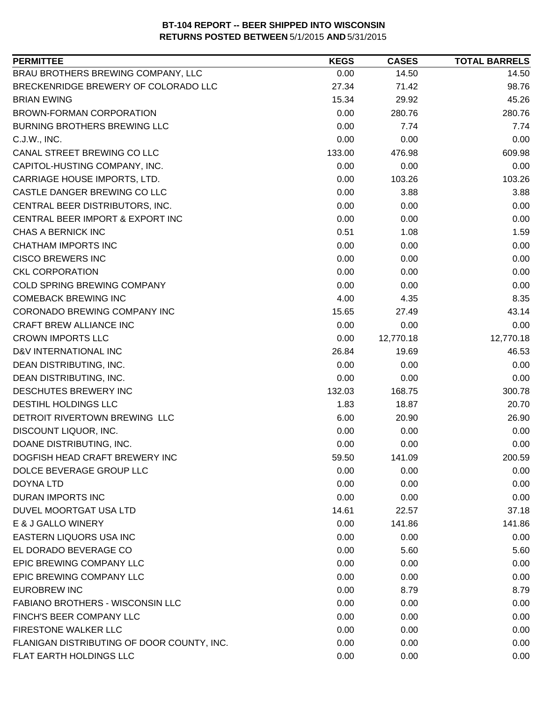| <b>PERMITTEE</b>                           | <b>KEGS</b> | <b>CASES</b> | <b>TOTAL BARRELS</b> |
|--------------------------------------------|-------------|--------------|----------------------|
| BRAU BROTHERS BREWING COMPANY, LLC         | 0.00        | 14.50        | 14.50                |
| BRECKENRIDGE BREWERY OF COLORADO LLC       | 27.34       | 71.42        | 98.76                |
| <b>BRIAN EWING</b>                         | 15.34       | 29.92        | 45.26                |
| <b>BROWN-FORMAN CORPORATION</b>            | 0.00        | 280.76       | 280.76               |
| BURNING BROTHERS BREWING LLC               | 0.00        | 7.74         | 7.74                 |
| C.J.W., INC.                               | 0.00        | 0.00         | 0.00                 |
| CANAL STREET BREWING CO LLC                | 133.00      | 476.98       | 609.98               |
| CAPITOL-HUSTING COMPANY, INC.              | 0.00        | 0.00         | 0.00                 |
| CARRIAGE HOUSE IMPORTS, LTD.               | 0.00        | 103.26       | 103.26               |
| CASTLE DANGER BREWING CO LLC               | 0.00        | 3.88         | 3.88                 |
| CENTRAL BEER DISTRIBUTORS, INC.            | 0.00        | 0.00         | 0.00                 |
| CENTRAL BEER IMPORT & EXPORT INC           | 0.00        | 0.00         | 0.00                 |
| CHAS A BERNICK INC                         | 0.51        | 1.08         | 1.59                 |
| <b>CHATHAM IMPORTS INC</b>                 | 0.00        | 0.00         | 0.00                 |
| <b>CISCO BREWERS INC</b>                   | 0.00        | 0.00         | 0.00                 |
| <b>CKL CORPORATION</b>                     | 0.00        | 0.00         | 0.00                 |
| COLD SPRING BREWING COMPANY                | 0.00        | 0.00         | 0.00                 |
| <b>COMEBACK BREWING INC</b>                | 4.00        | 4.35         | 8.35                 |
| CORONADO BREWING COMPANY INC               | 15.65       | 27.49        | 43.14                |
| <b>CRAFT BREW ALLIANCE INC</b>             | 0.00        | 0.00         | 0.00                 |
| <b>CROWN IMPORTS LLC</b>                   | 0.00        | 12,770.18    | 12,770.18            |
| D&V INTERNATIONAL INC                      | 26.84       | 19.69        | 46.53                |
| DEAN DISTRIBUTING, INC.                    | 0.00        | 0.00         | 0.00                 |
| DEAN DISTRIBUTING, INC.                    | 0.00        | 0.00         | 0.00                 |
| DESCHUTES BREWERY INC                      | 132.03      | 168.75       | 300.78               |
| DESTIHL HOLDINGS LLC                       | 1.83        | 18.87        | 20.70                |
| DETROIT RIVERTOWN BREWING LLC              | 6.00        | 20.90        | 26.90                |
| DISCOUNT LIQUOR, INC.                      | 0.00        | 0.00         | 0.00                 |
| DOANE DISTRIBUTING, INC.                   | 0.00        | 0.00         | 0.00                 |
| DOGFISH HEAD CRAFT BREWERY INC             | 59.50       | 141.09       | 200.59               |
| DOLCE BEVERAGE GROUP LLC                   | 0.00        | 0.00         | 0.00                 |
| DOYNA LTD                                  | 0.00        | 0.00         | 0.00                 |
| <b>DURAN IMPORTS INC</b>                   | 0.00        | 0.00         | 0.00                 |
| DUVEL MOORTGAT USA LTD                     | 14.61       | 22.57        | 37.18                |
| E & J GALLO WINERY                         | 0.00        | 141.86       | 141.86               |
| <b>EASTERN LIQUORS USA INC</b>             | 0.00        | 0.00         | 0.00                 |
| EL DORADO BEVERAGE CO                      | 0.00        | 5.60         | 5.60                 |
| <b>EPIC BREWING COMPANY LLC</b>            | 0.00        | 0.00         | 0.00                 |
| EPIC BREWING COMPANY LLC                   | 0.00        | 0.00         | 0.00                 |
| <b>EUROBREW INC</b>                        | 0.00        | 8.79         | 8.79                 |
| <b>FABIANO BROTHERS - WISCONSIN LLC</b>    | 0.00        | 0.00         | 0.00                 |
| FINCH'S BEER COMPANY LLC                   | 0.00        | 0.00         | 0.00                 |
| FIRESTONE WALKER LLC                       | 0.00        | 0.00         | 0.00                 |
| FLANIGAN DISTRIBUTING OF DOOR COUNTY, INC. | 0.00        | 0.00         | 0.00                 |
| FLAT EARTH HOLDINGS LLC                    | 0.00        | 0.00         | 0.00                 |
|                                            |             |              |                      |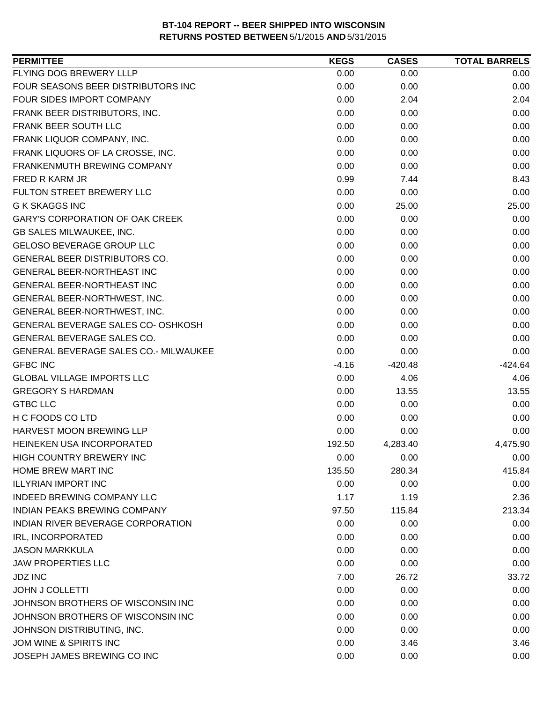| <b>PERMITTEE</b>                       | <b>KEGS</b> | <b>CASES</b> | <b>TOTAL BARRELS</b> |
|----------------------------------------|-------------|--------------|----------------------|
| FLYING DOG BREWERY LLLP                | 0.00        | 0.00         | 0.00                 |
| FOUR SEASONS BEER DISTRIBUTORS INC     | 0.00        | 0.00         | 0.00                 |
| FOUR SIDES IMPORT COMPANY              | 0.00        | 2.04         | 2.04                 |
| FRANK BEER DISTRIBUTORS, INC.          | 0.00        | 0.00         | 0.00                 |
| FRANK BEER SOUTH LLC                   | 0.00        | 0.00         | 0.00                 |
| FRANK LIQUOR COMPANY, INC.             | 0.00        | 0.00         | 0.00                 |
| FRANK LIQUORS OF LA CROSSE, INC.       | 0.00        | 0.00         | 0.00                 |
| FRANKENMUTH BREWING COMPANY            | 0.00        | 0.00         | 0.00                 |
| FRED R KARM JR                         | 0.99        | 7.44         | 8.43                 |
| FULTON STREET BREWERY LLC              | 0.00        | 0.00         | 0.00                 |
| <b>G K SKAGGS INC</b>                  | 0.00        | 25.00        | 25.00                |
| <b>GARY'S CORPORATION OF OAK CREEK</b> | 0.00        | 0.00         | 0.00                 |
| GB SALES MILWAUKEE, INC.               | 0.00        | 0.00         | 0.00                 |
| GELOSO BEVERAGE GROUP LLC              | 0.00        | 0.00         | 0.00                 |
| GENERAL BEER DISTRIBUTORS CO.          | 0.00        | 0.00         | 0.00                 |
| GENERAL BEER-NORTHEAST INC             | 0.00        | 0.00         | 0.00                 |
| GENERAL BEER-NORTHEAST INC             | 0.00        | 0.00         | 0.00                 |
| GENERAL BEER-NORTHWEST, INC.           | 0.00        | 0.00         | 0.00                 |
| GENERAL BEER-NORTHWEST, INC.           | 0.00        | 0.00         | 0.00                 |
| GENERAL BEVERAGE SALES CO- OSHKOSH     | 0.00        | 0.00         | 0.00                 |
| GENERAL BEVERAGE SALES CO.             | 0.00        | 0.00         | 0.00                 |
| GENERAL BEVERAGE SALES CO.- MILWAUKEE  | 0.00        | 0.00         | 0.00                 |
| <b>GFBC INC</b>                        | $-4.16$     | $-420.48$    | $-424.64$            |
| <b>GLOBAL VILLAGE IMPORTS LLC</b>      | 0.00        | 4.06         | 4.06                 |
| <b>GREGORY S HARDMAN</b>               | 0.00        | 13.55        | 13.55                |
| <b>GTBC LLC</b>                        | 0.00        | 0.00         | 0.00                 |
| H C FOODS CO LTD                       | 0.00        | 0.00         | 0.00                 |
| HARVEST MOON BREWING LLP               | 0.00        | 0.00         | 0.00                 |
| HEINEKEN USA INCORPORATED              | 192.50      | 4,283.40     | 4,475.90             |
| HIGH COUNTRY BREWERY INC               | 0.00        | 0.00         | 0.00                 |
| HOME BREW MART INC                     | 135.50      | 280.34       | 415.84               |
| <b>ILLYRIAN IMPORT INC</b>             | 0.00        | 0.00         | 0.00                 |
| <b>INDEED BREWING COMPANY LLC</b>      | 1.17        | 1.19         | 2.36                 |
| <b>INDIAN PEAKS BREWING COMPANY</b>    | 97.50       | 115.84       | 213.34               |
| INDIAN RIVER BEVERAGE CORPORATION      | 0.00        | 0.00         | 0.00                 |
| IRL, INCORPORATED                      | 0.00        | 0.00         | 0.00                 |
| <b>JASON MARKKULA</b>                  | 0.00        | 0.00         | 0.00                 |
| <b>JAW PROPERTIES LLC</b>              | 0.00        | 0.00         | 0.00                 |
| <b>JDZ INC</b>                         | 7.00        | 26.72        | 33.72                |
| <b>JOHN J COLLETTI</b>                 | 0.00        | 0.00         | 0.00                 |
| JOHNSON BROTHERS OF WISCONSIN INC      | 0.00        | 0.00         | 0.00                 |
| JOHNSON BROTHERS OF WISCONSIN INC      | 0.00        | 0.00         | 0.00                 |
| JOHNSON DISTRIBUTING, INC.             | 0.00        | 0.00         | 0.00                 |
| JOM WINE & SPIRITS INC                 | 0.00        | 3.46         | 3.46                 |
| JOSEPH JAMES BREWING CO INC            | 0.00        | 0.00         | 0.00                 |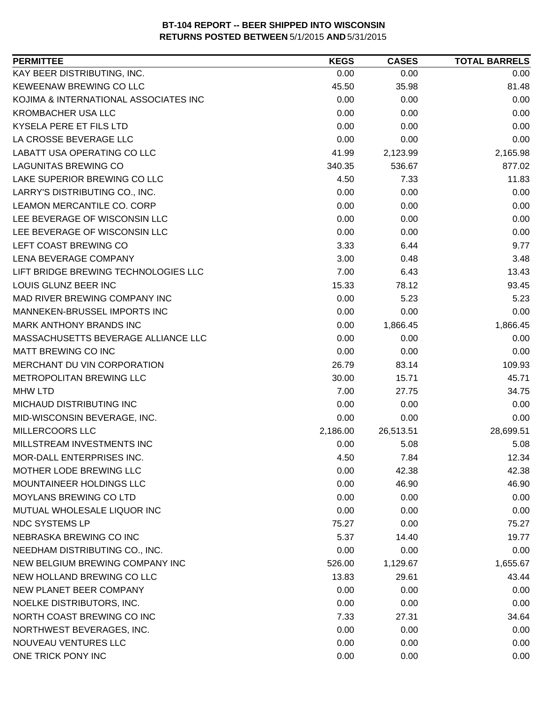| <b>PERMITTEE</b>                      | <b>KEGS</b> | <b>CASES</b> | <b>TOTAL BARRELS</b> |
|---------------------------------------|-------------|--------------|----------------------|
| KAY BEER DISTRIBUTING, INC.           | 0.00        | 0.00         | 0.00                 |
| KEWEENAW BREWING CO LLC               | 45.50       | 35.98        | 81.48                |
| KOJIMA & INTERNATIONAL ASSOCIATES INC | 0.00        | 0.00         | 0.00                 |
| <b>KROMBACHER USA LLC</b>             | 0.00        | 0.00         | 0.00                 |
| KYSELA PERE ET FILS LTD               | 0.00        | 0.00         | 0.00                 |
| LA CROSSE BEVERAGE LLC                | 0.00        | 0.00         | 0.00                 |
| LABATT USA OPERATING CO LLC           | 41.99       | 2,123.99     | 2,165.98             |
| <b>LAGUNITAS BREWING CO</b>           | 340.35      | 536.67       | 877.02               |
| LAKE SUPERIOR BREWING CO LLC          | 4.50        | 7.33         | 11.83                |
| LARRY'S DISTRIBUTING CO., INC.        | 0.00        | 0.00         | 0.00                 |
| LEAMON MERCANTILE CO. CORP            | 0.00        | 0.00         | 0.00                 |
| LEE BEVERAGE OF WISCONSIN LLC         | 0.00        | 0.00         | 0.00                 |
| LEE BEVERAGE OF WISCONSIN LLC         | 0.00        | 0.00         | 0.00                 |
| LEFT COAST BREWING CO                 | 3.33        | 6.44         | 9.77                 |
| LENA BEVERAGE COMPANY                 | 3.00        | 0.48         | 3.48                 |
| LIFT BRIDGE BREWING TECHNOLOGIES LLC  | 7.00        | 6.43         | 13.43                |
| LOUIS GLUNZ BEER INC                  | 15.33       | 78.12        | 93.45                |
| MAD RIVER BREWING COMPANY INC         | 0.00        | 5.23         | 5.23                 |
| MANNEKEN-BRUSSEL IMPORTS INC          | 0.00        | 0.00         | 0.00                 |
| MARK ANTHONY BRANDS INC               | 0.00        | 1,866.45     | 1,866.45             |
| MASSACHUSETTS BEVERAGE ALLIANCE LLC   | 0.00        | 0.00         | 0.00                 |
| <b>MATT BREWING CO INC</b>            | 0.00        | 0.00         | 0.00                 |
| MERCHANT DU VIN CORPORATION           | 26.79       | 83.14        | 109.93               |
| METROPOLITAN BREWING LLC              | 30.00       | 15.71        | 45.71                |
| <b>MHW LTD</b>                        | 7.00        | 27.75        | 34.75                |
| MICHAUD DISTRIBUTING INC              | 0.00        | 0.00         | 0.00                 |
| MID-WISCONSIN BEVERAGE, INC.          | 0.00        | 0.00         | 0.00                 |
| MILLERCOORS LLC                       | 2,186.00    | 26,513.51    | 28,699.51            |
| MILLSTREAM INVESTMENTS INC            | 0.00        | 5.08         | 5.08                 |
| MOR-DALL ENTERPRISES INC.             | 4.50        | 7.84         | 12.34                |
| MOTHER LODE BREWING LLC               | 0.00        | 42.38        | 42.38                |
| MOUNTAINEER HOLDINGS LLC              | 0.00        | 46.90        | 46.90                |
| MOYLANS BREWING CO LTD                | 0.00        | 0.00         | 0.00                 |
| MUTUAL WHOLESALE LIQUOR INC           | 0.00        | 0.00         | 0.00                 |
| NDC SYSTEMS LP                        | 75.27       | 0.00         | 75.27                |
| NEBRASKA BREWING CO INC               | 5.37        | 14.40        | 19.77                |
| NEEDHAM DISTRIBUTING CO., INC.        | 0.00        | 0.00         | 0.00                 |
| NEW BELGIUM BREWING COMPANY INC       | 526.00      | 1,129.67     | 1,655.67             |
| NEW HOLLAND BREWING CO LLC            | 13.83       | 29.61        | 43.44                |
| NEW PLANET BEER COMPANY               | 0.00        | 0.00         | 0.00                 |
| NOELKE DISTRIBUTORS, INC.             | 0.00        | 0.00         | 0.00                 |
| NORTH COAST BREWING CO INC            | 7.33        | 27.31        | 34.64                |
| NORTHWEST BEVERAGES, INC.             | 0.00        | 0.00         | 0.00                 |
| NOUVEAU VENTURES LLC                  | 0.00        | 0.00         | 0.00                 |
| ONE TRICK PONY INC                    | 0.00        | 0.00         | 0.00                 |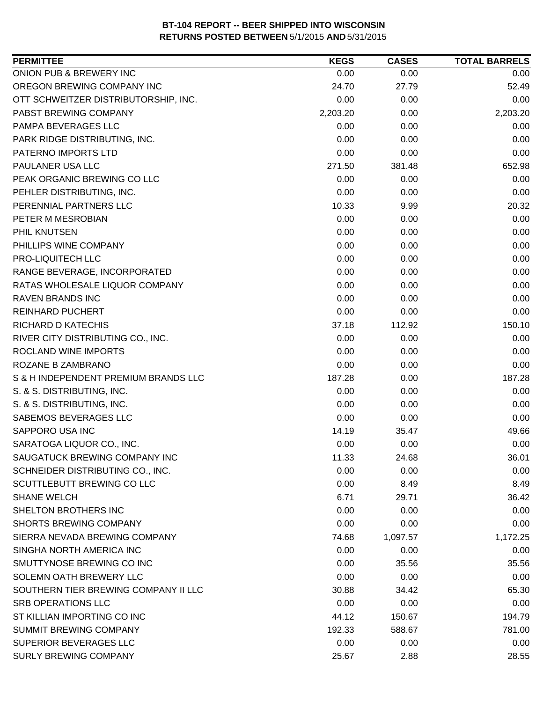| ONION PUB & BREWERY INC<br>0.00<br>0.00<br>0.00<br>OREGON BREWING COMPANY INC<br>24.70<br>27.79<br>52.49<br>0.00<br>OTT SCHWEITZER DISTRIBUTORSHIP, INC.<br>0.00<br>0.00<br>2,203.20<br>PABST BREWING COMPANY<br>2,203.20<br>0.00<br>0.00<br>0.00<br>0.00<br>PARK RIDGE DISTRIBUTING, INC.<br>0.00<br>0.00<br>0.00<br>PATERNO IMPORTS LTD<br>0.00<br>0.00<br>0.00<br>381.48<br>652.98<br>271.50<br>0.00<br>0.00<br>0.00<br>0.00<br>0.00<br>0.00<br>PERENNIAL PARTNERS LLC<br>10.33<br>9.99<br>20.32<br>0.00<br>0.00<br>0.00<br>0.00<br>0.00<br>0.00<br>PHILLIPS WINE COMPANY<br>0.00<br>0.00<br>0.00<br>PRO-LIQUITECH LLC<br>0.00<br>0.00<br>0.00<br>RANGE BEVERAGE, INCORPORATED<br>0.00<br>0.00<br>0.00<br>RATAS WHOLESALE LIQUOR COMPANY<br>0.00<br>0.00<br>0.00<br><b>RAVEN BRANDS INC</b><br>0.00<br>0.00<br>0.00<br>0.00<br><b>REINHARD PUCHERT</b><br>0.00<br>0.00<br>150.10<br>RICHARD D KATECHIS<br>37.18<br>112.92<br>RIVER CITY DISTRIBUTING CO., INC.<br>0.00<br>0.00<br>0.00<br>ROCLAND WINE IMPORTS<br>0.00<br>0.00<br>0.00<br>ROZANE B ZAMBRANO<br>0.00<br>0.00<br>0.00<br>S & H INDEPENDENT PREMIUM BRANDS LLC<br>187.28<br>187.28<br>0.00<br>0.00<br>0.00<br>S. & S. DISTRIBUTING, INC.<br>0.00<br>S. & S. DISTRIBUTING, INC.<br>0.00<br>0.00<br>0.00<br>SABEMOS BEVERAGES LLC<br>0.00<br>0.00<br>0.00<br>SAPPORO USA INC<br>35.47<br>14.19<br>49.66<br>SARATOGA LIQUOR CO., INC.<br>0.00<br>0.00<br>0.00<br>SAUGATUCK BREWING COMPANY INC<br>11.33<br>24.68<br>36.01<br>SCHNEIDER DISTRIBUTING CO., INC.<br>0.00<br>0.00<br>0.00<br>SCUTTLEBUTT BREWING CO LLC<br>0.00<br>8.49<br>8.49<br><b>SHANE WELCH</b><br>6.71<br>29.71<br>36.42<br>SHELTON BROTHERS INC<br>0.00<br>0.00<br>0.00<br><b>SHORTS BREWING COMPANY</b><br>0.00<br>0.00<br>0.00<br>SIERRA NEVADA BREWING COMPANY<br>74.68<br>1,097.57<br>1,172.25<br>SINGHA NORTH AMERICA INC<br>0.00<br>0.00<br>0.00<br>SMUTTYNOSE BREWING CO INC<br>0.00<br>35.56<br>35.56<br>SOLEMN OATH BREWERY LLC<br>0.00<br>0.00<br>0.00<br>SOUTHERN TIER BREWING COMPANY II LLC<br>65.30<br>30.88<br>34.42<br><b>SRB OPERATIONS LLC</b><br>0.00<br>0.00<br>0.00<br>ST KILLIAN IMPORTING CO INC<br>44.12<br>194.79<br>150.67<br><b>SUMMIT BREWING COMPANY</b><br>192.33<br>588.67<br>781.00<br>0.00<br>0.00<br>0.00<br><b>SURLY BREWING COMPANY</b><br>25.67<br>2.88<br>28.55 | <b>PERMITTEE</b>            | <b>KEGS</b> | <b>CASES</b> | <b>TOTAL BARRELS</b> |
|----------------------------------------------------------------------------------------------------------------------------------------------------------------------------------------------------------------------------------------------------------------------------------------------------------------------------------------------------------------------------------------------------------------------------------------------------------------------------------------------------------------------------------------------------------------------------------------------------------------------------------------------------------------------------------------------------------------------------------------------------------------------------------------------------------------------------------------------------------------------------------------------------------------------------------------------------------------------------------------------------------------------------------------------------------------------------------------------------------------------------------------------------------------------------------------------------------------------------------------------------------------------------------------------------------------------------------------------------------------------------------------------------------------------------------------------------------------------------------------------------------------------------------------------------------------------------------------------------------------------------------------------------------------------------------------------------------------------------------------------------------------------------------------------------------------------------------------------------------------------------------------------------------------------------------------------------------------------------------------------------------------------------------------------------------------------------------------------------------------------------------------------------------------------------------------------------------------------------------------------------------------------------------------------------------------------------------------|-----------------------------|-------------|--------------|----------------------|
|                                                                                                                                                                                                                                                                                                                                                                                                                                                                                                                                                                                                                                                                                                                                                                                                                                                                                                                                                                                                                                                                                                                                                                                                                                                                                                                                                                                                                                                                                                                                                                                                                                                                                                                                                                                                                                                                                                                                                                                                                                                                                                                                                                                                                                                                                                                                        |                             |             |              |                      |
|                                                                                                                                                                                                                                                                                                                                                                                                                                                                                                                                                                                                                                                                                                                                                                                                                                                                                                                                                                                                                                                                                                                                                                                                                                                                                                                                                                                                                                                                                                                                                                                                                                                                                                                                                                                                                                                                                                                                                                                                                                                                                                                                                                                                                                                                                                                                        |                             |             |              |                      |
|                                                                                                                                                                                                                                                                                                                                                                                                                                                                                                                                                                                                                                                                                                                                                                                                                                                                                                                                                                                                                                                                                                                                                                                                                                                                                                                                                                                                                                                                                                                                                                                                                                                                                                                                                                                                                                                                                                                                                                                                                                                                                                                                                                                                                                                                                                                                        |                             |             |              |                      |
|                                                                                                                                                                                                                                                                                                                                                                                                                                                                                                                                                                                                                                                                                                                                                                                                                                                                                                                                                                                                                                                                                                                                                                                                                                                                                                                                                                                                                                                                                                                                                                                                                                                                                                                                                                                                                                                                                                                                                                                                                                                                                                                                                                                                                                                                                                                                        |                             |             |              |                      |
|                                                                                                                                                                                                                                                                                                                                                                                                                                                                                                                                                                                                                                                                                                                                                                                                                                                                                                                                                                                                                                                                                                                                                                                                                                                                                                                                                                                                                                                                                                                                                                                                                                                                                                                                                                                                                                                                                                                                                                                                                                                                                                                                                                                                                                                                                                                                        | PAMPA BEVERAGES LLC         |             |              |                      |
|                                                                                                                                                                                                                                                                                                                                                                                                                                                                                                                                                                                                                                                                                                                                                                                                                                                                                                                                                                                                                                                                                                                                                                                                                                                                                                                                                                                                                                                                                                                                                                                                                                                                                                                                                                                                                                                                                                                                                                                                                                                                                                                                                                                                                                                                                                                                        |                             |             |              |                      |
|                                                                                                                                                                                                                                                                                                                                                                                                                                                                                                                                                                                                                                                                                                                                                                                                                                                                                                                                                                                                                                                                                                                                                                                                                                                                                                                                                                                                                                                                                                                                                                                                                                                                                                                                                                                                                                                                                                                                                                                                                                                                                                                                                                                                                                                                                                                                        |                             |             |              |                      |
|                                                                                                                                                                                                                                                                                                                                                                                                                                                                                                                                                                                                                                                                                                                                                                                                                                                                                                                                                                                                                                                                                                                                                                                                                                                                                                                                                                                                                                                                                                                                                                                                                                                                                                                                                                                                                                                                                                                                                                                                                                                                                                                                                                                                                                                                                                                                        | PAULANER USA LLC            |             |              |                      |
|                                                                                                                                                                                                                                                                                                                                                                                                                                                                                                                                                                                                                                                                                                                                                                                                                                                                                                                                                                                                                                                                                                                                                                                                                                                                                                                                                                                                                                                                                                                                                                                                                                                                                                                                                                                                                                                                                                                                                                                                                                                                                                                                                                                                                                                                                                                                        | PEAK ORGANIC BREWING CO LLC |             |              |                      |
|                                                                                                                                                                                                                                                                                                                                                                                                                                                                                                                                                                                                                                                                                                                                                                                                                                                                                                                                                                                                                                                                                                                                                                                                                                                                                                                                                                                                                                                                                                                                                                                                                                                                                                                                                                                                                                                                                                                                                                                                                                                                                                                                                                                                                                                                                                                                        | PEHLER DISTRIBUTING, INC.   |             |              |                      |
|                                                                                                                                                                                                                                                                                                                                                                                                                                                                                                                                                                                                                                                                                                                                                                                                                                                                                                                                                                                                                                                                                                                                                                                                                                                                                                                                                                                                                                                                                                                                                                                                                                                                                                                                                                                                                                                                                                                                                                                                                                                                                                                                                                                                                                                                                                                                        |                             |             |              |                      |
|                                                                                                                                                                                                                                                                                                                                                                                                                                                                                                                                                                                                                                                                                                                                                                                                                                                                                                                                                                                                                                                                                                                                                                                                                                                                                                                                                                                                                                                                                                                                                                                                                                                                                                                                                                                                                                                                                                                                                                                                                                                                                                                                                                                                                                                                                                                                        | PETER M MESROBIAN           |             |              |                      |
|                                                                                                                                                                                                                                                                                                                                                                                                                                                                                                                                                                                                                                                                                                                                                                                                                                                                                                                                                                                                                                                                                                                                                                                                                                                                                                                                                                                                                                                                                                                                                                                                                                                                                                                                                                                                                                                                                                                                                                                                                                                                                                                                                                                                                                                                                                                                        | PHIL KNUTSEN                |             |              |                      |
|                                                                                                                                                                                                                                                                                                                                                                                                                                                                                                                                                                                                                                                                                                                                                                                                                                                                                                                                                                                                                                                                                                                                                                                                                                                                                                                                                                                                                                                                                                                                                                                                                                                                                                                                                                                                                                                                                                                                                                                                                                                                                                                                                                                                                                                                                                                                        |                             |             |              |                      |
|                                                                                                                                                                                                                                                                                                                                                                                                                                                                                                                                                                                                                                                                                                                                                                                                                                                                                                                                                                                                                                                                                                                                                                                                                                                                                                                                                                                                                                                                                                                                                                                                                                                                                                                                                                                                                                                                                                                                                                                                                                                                                                                                                                                                                                                                                                                                        |                             |             |              |                      |
|                                                                                                                                                                                                                                                                                                                                                                                                                                                                                                                                                                                                                                                                                                                                                                                                                                                                                                                                                                                                                                                                                                                                                                                                                                                                                                                                                                                                                                                                                                                                                                                                                                                                                                                                                                                                                                                                                                                                                                                                                                                                                                                                                                                                                                                                                                                                        |                             |             |              |                      |
|                                                                                                                                                                                                                                                                                                                                                                                                                                                                                                                                                                                                                                                                                                                                                                                                                                                                                                                                                                                                                                                                                                                                                                                                                                                                                                                                                                                                                                                                                                                                                                                                                                                                                                                                                                                                                                                                                                                                                                                                                                                                                                                                                                                                                                                                                                                                        |                             |             |              |                      |
|                                                                                                                                                                                                                                                                                                                                                                                                                                                                                                                                                                                                                                                                                                                                                                                                                                                                                                                                                                                                                                                                                                                                                                                                                                                                                                                                                                                                                                                                                                                                                                                                                                                                                                                                                                                                                                                                                                                                                                                                                                                                                                                                                                                                                                                                                                                                        |                             |             |              |                      |
|                                                                                                                                                                                                                                                                                                                                                                                                                                                                                                                                                                                                                                                                                                                                                                                                                                                                                                                                                                                                                                                                                                                                                                                                                                                                                                                                                                                                                                                                                                                                                                                                                                                                                                                                                                                                                                                                                                                                                                                                                                                                                                                                                                                                                                                                                                                                        |                             |             |              |                      |
|                                                                                                                                                                                                                                                                                                                                                                                                                                                                                                                                                                                                                                                                                                                                                                                                                                                                                                                                                                                                                                                                                                                                                                                                                                                                                                                                                                                                                                                                                                                                                                                                                                                                                                                                                                                                                                                                                                                                                                                                                                                                                                                                                                                                                                                                                                                                        |                             |             |              |                      |
|                                                                                                                                                                                                                                                                                                                                                                                                                                                                                                                                                                                                                                                                                                                                                                                                                                                                                                                                                                                                                                                                                                                                                                                                                                                                                                                                                                                                                                                                                                                                                                                                                                                                                                                                                                                                                                                                                                                                                                                                                                                                                                                                                                                                                                                                                                                                        |                             |             |              |                      |
|                                                                                                                                                                                                                                                                                                                                                                                                                                                                                                                                                                                                                                                                                                                                                                                                                                                                                                                                                                                                                                                                                                                                                                                                                                                                                                                                                                                                                                                                                                                                                                                                                                                                                                                                                                                                                                                                                                                                                                                                                                                                                                                                                                                                                                                                                                                                        |                             |             |              |                      |
|                                                                                                                                                                                                                                                                                                                                                                                                                                                                                                                                                                                                                                                                                                                                                                                                                                                                                                                                                                                                                                                                                                                                                                                                                                                                                                                                                                                                                                                                                                                                                                                                                                                                                                                                                                                                                                                                                                                                                                                                                                                                                                                                                                                                                                                                                                                                        |                             |             |              |                      |
|                                                                                                                                                                                                                                                                                                                                                                                                                                                                                                                                                                                                                                                                                                                                                                                                                                                                                                                                                                                                                                                                                                                                                                                                                                                                                                                                                                                                                                                                                                                                                                                                                                                                                                                                                                                                                                                                                                                                                                                                                                                                                                                                                                                                                                                                                                                                        |                             |             |              |                      |
|                                                                                                                                                                                                                                                                                                                                                                                                                                                                                                                                                                                                                                                                                                                                                                                                                                                                                                                                                                                                                                                                                                                                                                                                                                                                                                                                                                                                                                                                                                                                                                                                                                                                                                                                                                                                                                                                                                                                                                                                                                                                                                                                                                                                                                                                                                                                        |                             |             |              |                      |
|                                                                                                                                                                                                                                                                                                                                                                                                                                                                                                                                                                                                                                                                                                                                                                                                                                                                                                                                                                                                                                                                                                                                                                                                                                                                                                                                                                                                                                                                                                                                                                                                                                                                                                                                                                                                                                                                                                                                                                                                                                                                                                                                                                                                                                                                                                                                        |                             |             |              |                      |
|                                                                                                                                                                                                                                                                                                                                                                                                                                                                                                                                                                                                                                                                                                                                                                                                                                                                                                                                                                                                                                                                                                                                                                                                                                                                                                                                                                                                                                                                                                                                                                                                                                                                                                                                                                                                                                                                                                                                                                                                                                                                                                                                                                                                                                                                                                                                        |                             |             |              |                      |
|                                                                                                                                                                                                                                                                                                                                                                                                                                                                                                                                                                                                                                                                                                                                                                                                                                                                                                                                                                                                                                                                                                                                                                                                                                                                                                                                                                                                                                                                                                                                                                                                                                                                                                                                                                                                                                                                                                                                                                                                                                                                                                                                                                                                                                                                                                                                        |                             |             |              |                      |
|                                                                                                                                                                                                                                                                                                                                                                                                                                                                                                                                                                                                                                                                                                                                                                                                                                                                                                                                                                                                                                                                                                                                                                                                                                                                                                                                                                                                                                                                                                                                                                                                                                                                                                                                                                                                                                                                                                                                                                                                                                                                                                                                                                                                                                                                                                                                        |                             |             |              |                      |
|                                                                                                                                                                                                                                                                                                                                                                                                                                                                                                                                                                                                                                                                                                                                                                                                                                                                                                                                                                                                                                                                                                                                                                                                                                                                                                                                                                                                                                                                                                                                                                                                                                                                                                                                                                                                                                                                                                                                                                                                                                                                                                                                                                                                                                                                                                                                        |                             |             |              |                      |
|                                                                                                                                                                                                                                                                                                                                                                                                                                                                                                                                                                                                                                                                                                                                                                                                                                                                                                                                                                                                                                                                                                                                                                                                                                                                                                                                                                                                                                                                                                                                                                                                                                                                                                                                                                                                                                                                                                                                                                                                                                                                                                                                                                                                                                                                                                                                        |                             |             |              |                      |
|                                                                                                                                                                                                                                                                                                                                                                                                                                                                                                                                                                                                                                                                                                                                                                                                                                                                                                                                                                                                                                                                                                                                                                                                                                                                                                                                                                                                                                                                                                                                                                                                                                                                                                                                                                                                                                                                                                                                                                                                                                                                                                                                                                                                                                                                                                                                        |                             |             |              |                      |
|                                                                                                                                                                                                                                                                                                                                                                                                                                                                                                                                                                                                                                                                                                                                                                                                                                                                                                                                                                                                                                                                                                                                                                                                                                                                                                                                                                                                                                                                                                                                                                                                                                                                                                                                                                                                                                                                                                                                                                                                                                                                                                                                                                                                                                                                                                                                        |                             |             |              |                      |
|                                                                                                                                                                                                                                                                                                                                                                                                                                                                                                                                                                                                                                                                                                                                                                                                                                                                                                                                                                                                                                                                                                                                                                                                                                                                                                                                                                                                                                                                                                                                                                                                                                                                                                                                                                                                                                                                                                                                                                                                                                                                                                                                                                                                                                                                                                                                        |                             |             |              |                      |
|                                                                                                                                                                                                                                                                                                                                                                                                                                                                                                                                                                                                                                                                                                                                                                                                                                                                                                                                                                                                                                                                                                                                                                                                                                                                                                                                                                                                                                                                                                                                                                                                                                                                                                                                                                                                                                                                                                                                                                                                                                                                                                                                                                                                                                                                                                                                        |                             |             |              |                      |
|                                                                                                                                                                                                                                                                                                                                                                                                                                                                                                                                                                                                                                                                                                                                                                                                                                                                                                                                                                                                                                                                                                                                                                                                                                                                                                                                                                                                                                                                                                                                                                                                                                                                                                                                                                                                                                                                                                                                                                                                                                                                                                                                                                                                                                                                                                                                        |                             |             |              |                      |
|                                                                                                                                                                                                                                                                                                                                                                                                                                                                                                                                                                                                                                                                                                                                                                                                                                                                                                                                                                                                                                                                                                                                                                                                                                                                                                                                                                                                                                                                                                                                                                                                                                                                                                                                                                                                                                                                                                                                                                                                                                                                                                                                                                                                                                                                                                                                        |                             |             |              |                      |
|                                                                                                                                                                                                                                                                                                                                                                                                                                                                                                                                                                                                                                                                                                                                                                                                                                                                                                                                                                                                                                                                                                                                                                                                                                                                                                                                                                                                                                                                                                                                                                                                                                                                                                                                                                                                                                                                                                                                                                                                                                                                                                                                                                                                                                                                                                                                        |                             |             |              |                      |
|                                                                                                                                                                                                                                                                                                                                                                                                                                                                                                                                                                                                                                                                                                                                                                                                                                                                                                                                                                                                                                                                                                                                                                                                                                                                                                                                                                                                                                                                                                                                                                                                                                                                                                                                                                                                                                                                                                                                                                                                                                                                                                                                                                                                                                                                                                                                        |                             |             |              |                      |
|                                                                                                                                                                                                                                                                                                                                                                                                                                                                                                                                                                                                                                                                                                                                                                                                                                                                                                                                                                                                                                                                                                                                                                                                                                                                                                                                                                                                                                                                                                                                                                                                                                                                                                                                                                                                                                                                                                                                                                                                                                                                                                                                                                                                                                                                                                                                        |                             |             |              |                      |
|                                                                                                                                                                                                                                                                                                                                                                                                                                                                                                                                                                                                                                                                                                                                                                                                                                                                                                                                                                                                                                                                                                                                                                                                                                                                                                                                                                                                                                                                                                                                                                                                                                                                                                                                                                                                                                                                                                                                                                                                                                                                                                                                                                                                                                                                                                                                        |                             |             |              |                      |
|                                                                                                                                                                                                                                                                                                                                                                                                                                                                                                                                                                                                                                                                                                                                                                                                                                                                                                                                                                                                                                                                                                                                                                                                                                                                                                                                                                                                                                                                                                                                                                                                                                                                                                                                                                                                                                                                                                                                                                                                                                                                                                                                                                                                                                                                                                                                        |                             |             |              |                      |
|                                                                                                                                                                                                                                                                                                                                                                                                                                                                                                                                                                                                                                                                                                                                                                                                                                                                                                                                                                                                                                                                                                                                                                                                                                                                                                                                                                                                                                                                                                                                                                                                                                                                                                                                                                                                                                                                                                                                                                                                                                                                                                                                                                                                                                                                                                                                        |                             |             |              |                      |
|                                                                                                                                                                                                                                                                                                                                                                                                                                                                                                                                                                                                                                                                                                                                                                                                                                                                                                                                                                                                                                                                                                                                                                                                                                                                                                                                                                                                                                                                                                                                                                                                                                                                                                                                                                                                                                                                                                                                                                                                                                                                                                                                                                                                                                                                                                                                        | SUPERIOR BEVERAGES LLC      |             |              |                      |
|                                                                                                                                                                                                                                                                                                                                                                                                                                                                                                                                                                                                                                                                                                                                                                                                                                                                                                                                                                                                                                                                                                                                                                                                                                                                                                                                                                                                                                                                                                                                                                                                                                                                                                                                                                                                                                                                                                                                                                                                                                                                                                                                                                                                                                                                                                                                        |                             |             |              |                      |